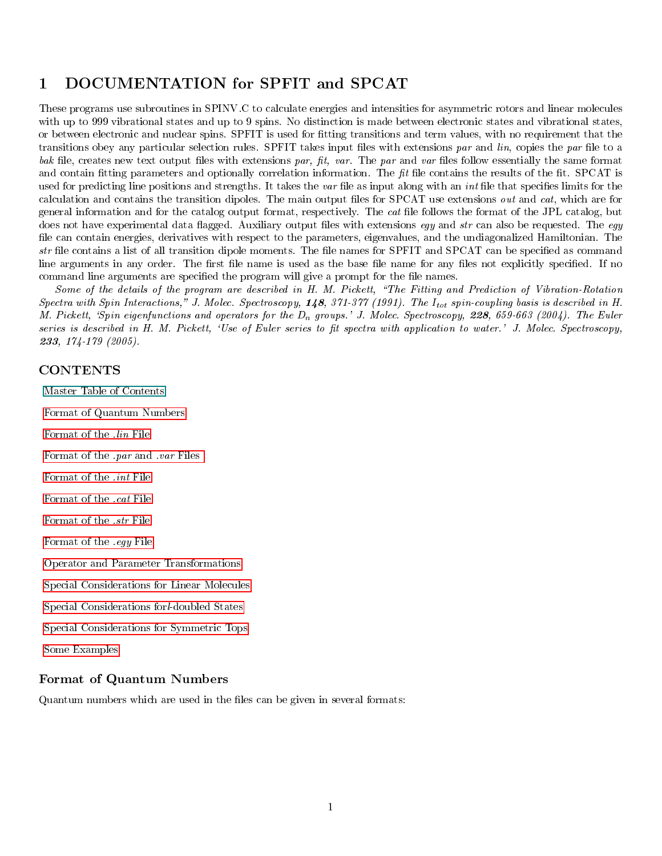# 1 DOCUMENTATION for SPFIT and SPCAT

These programs use subroutines in SPINV.C to calculate energies and intensities for asymmetric rotors and linear molecules with up to 999 vibrational states and up to 9 spins. No distinction is made between electronic states and vibrational states, or between electronic and nuclear spins. SPFIT is used for tting transitions and term values, with no requirement that the transitions obey any particular selection rules. SPFIT takes input files with extensions par and  $lin$ , copies the par file to a  $bak$  file, creates new text output files with extensions par, fit, var. The par and var files follow essentially the same format and contain fitting parameters and optionally correlation information. The  $fit$  file contains the results of the fit. SPCAT is used for predicting line positions and strengths. It takes the var file as input along with an *int* file that specifies limits for the calculation and contains the transition dipoles. The main output files for SPCAT use extensions *out* and *cat*, which are for general information and for the catalog output format, respectively. The cat le follows the format of the JPL catalog, but does not have experimental data flagged. Auxiliary output files with extensions eqy and str can also be requested. The eqy file can contain energies, derivatives with respect to the parameters, eigenvalues, and the undiagonalized Hamiltonian. The  $str$  file contains a list of all transition dipole moments. The file names for SPFIT and SPCAT can be specified as command line arguments in any order. The first file name is used as the base file name for any files not explicitly specified. If no command line arguments are specified the program will give a prompt for the file names.

Some of the details of the program are described in H. M. Pickett, \The Fitting and Prediction of Vibration-Rotation Spectra with Spin Interactions," J. Molec. Spectroscopy,  $148$ ,  $371-377$  (1991). The  $I_{tot}$  spin-coupling basis is described in H. M. Pickett, 'Spin eigenfunctions and operators for the  $D_n$  groups.' J. Molec. Spectroscopy, 228, 659-663 (2004). The Euler series is described in H. M. Pickett, 'Use of Euler series to fit spectra with application to water.' J. Molec. Spectroscopy, <sup>233</sup>, 174-179 (2005).

### <span id="page-0-1"></span>**CONTENTS**

Master Table of Contents

[Format of Quantum Numbers](#page-0-0)

[Format of the](#page-1-0) .lin File

[Format of the](#page-2-0) .par and .var Files

[Format of the](#page-6-0) .int File

[Format of the](#page-8-0) .cat File

[Format of the](#page-9-0) .str File

[Format of the](#page-9-1) .egy File

[Operator and Parameter Transformations](#page-9-2)

[Special Considerations for Linear Molecules](#page-10-0)

[Special Considerations forl-doubled States](#page-12-0)

[Special Considerations for Symmetric Tops](#page-12-1)

[Some Examples](#page-14-0)

#### <span id="page-0-0"></span>Format of Quantum Numbers

Quantum numbers which are used in the files can be given in several formats: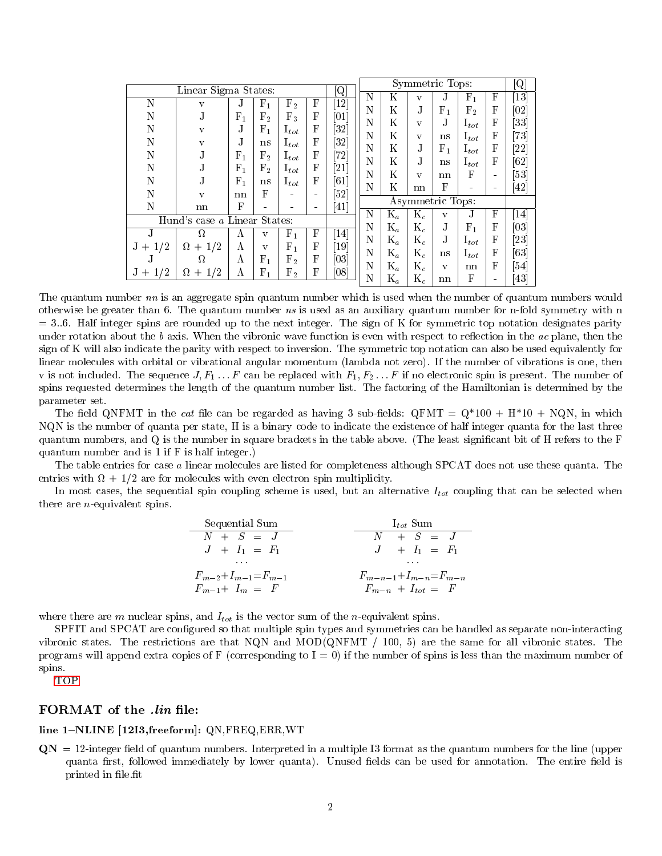| $[{\rm Q}]$<br>Linear Sigma States: |                              |           |                |                 |            |                               |   |                | Symmetric Tops:         |                  |                    |   | Q                            |
|-------------------------------------|------------------------------|-----------|----------------|-----------------|------------|-------------------------------|---|----------------|-------------------------|------------------|--------------------|---|------------------------------|
|                                     |                              |           |                |                 |            |                               | N | K              | V                       | J.               | ${\rm F}_{1}$      | F | $\left\lceil 13\right\rceil$ |
| N                                   | V                            | .T        | ${\rm F_1}$    | ${\rm F}_2$     | F          | $\left\lceil 12\right\rceil$  | N | K              | $_{\rm J}$              | $F_1$            | $\mathrm{F}_2$     | F | $\left[02\right]$            |
| N                                   | J.                           | $F_1$     | $\mathrm{F}_2$ | $F_3$           | F          | [01]                          | N | K              | $\mathbf{V}$            | J.               | $1_{tot}$          | F | $\left 33\right $            |
| N                                   | $\mathbf{V}$                 | .T        | ${\rm F}_{1}$  | ${\rm I}_{tot}$ | F          | $\left 32\right $             | N | K              |                         |                  |                    | F |                              |
| N                                   | V                            | .T        | ns             | ${\rm I}_{tot}$ | F          | $\left[32\right]$             |   |                | $\mathbf{V}$            | ns               | ${\rm I}_{tot}$    |   | [73]                         |
| N                                   | .T                           | $F_1$     | $\mathrm{F}_2$ | ${\rm I}_{tot}$ | F          | 72                            | N | K              | $_{\rm J}$              | $\mathrm{F}_{1}$ | $\mathrm{I}_{tot}$ | F | [22]                         |
| N                                   |                              | $\rm F_1$ | $\mathrm{F}_2$ | ${\rm I}_{tot}$ | F          | $\left[21\right]$             | N | K              | .T                      | ns               | $1_{tot}$          | F | 62                           |
|                                     |                              |           |                |                 | F          |                               | N | K              | $\overline{\mathbf{V}}$ | nn               | F                  | - | $\left[53\right]$            |
| N                                   |                              | $F_1$     | ns             | ${\rm I}_{tot}$ |            | $\lceil 61 \rceil$            | N | K              | nn                      | F                |                    |   | $\left\lceil 42\right\rceil$ |
| N                                   | V                            | nn        | F              |                 |            | $\lceil 52 \rceil$            |   |                | Asymmetric Tops:        |                  |                    |   |                              |
| N                                   | nn                           | F         |                |                 |            | $\lceil 41 \rceil$            | N | $K_a$          | $K_c$                   |                  | J.                 | F | $[14]$                       |
|                                     | Hund's case a Linear States: |           |                |                 |            |                               |   |                |                         | v                |                    |   |                              |
| J.                                  | Ω                            | Α         | v              | ${\rm F}_{1}$   | F          | $\left\lceil 14 \right\rceil$ | N | $\mathrm{K}_a$ | $K_c$                   | J.               | $F_{1}$            | F | $\left[03\right]$            |
| 1/2<br>$J +$                        | $+1/2$<br>$\Omega$           | Α         | $\mathbf{V}$   | $F_1$           | F          | $\lceil 19 \rceil$            | N | $K_a$          | $\mathrm{K}_c$          | J.               | $1_{tot}$          | F | $\left[ 23\right]$           |
| J.                                  | Ω.                           | Α         | $\rm F_1$      | F <sub>2</sub>  | F          | $\left[03\right]$             | N | $K_a$          | $\mathrm{K}_c$          | ns               | $1_{tot}$          | F | $\left[ 63 \right]$          |
|                                     |                              |           |                |                 |            |                               | N | $\mathrm{K}_a$ | $\mathrm{K}_c$          | $\mathbf{V}$     | nn                 | F | [54]                         |
| $J +$                               | '2<br>$\Omega$<br>$+$        | Λ         | ${\rm F_1}$    | ${\rm F}_2$     | $_{\rm F}$ | [08]                          | N | $\mathrm{K}_a$ | $\mathrm{K}_c$          | nn               | F                  |   | 43                           |

The quantum number nn is an aggregate spin quantum number which is used when the number of quantum numbers would otherwise be greater than 6. The quantum number ns is used as an auxiliary quantum number for n-fold symmetry with n  $=$  3..6. Half integer spins are rounded up to the next integer. The sign of K for symmetric top notation designates parity under rotation about the b axis. When the vibronic wave function is even with respect to reflection in the  $ac$  plane, then the sign of K will also indicate the parity with respect to inversion. The symmetric top notation can also be used equivalently for linear molecules with orbital or vibrational angular momentum (lambda not zero). If the number of vibrations is one, then v is not included. The sequence  $J, F_1, \ldots, F$  can be replaced with  $F_1, F_2, \ldots, F$  if no electronic spin is present. The number of spins requested determines the length of the quantum number list. The factoring of the Hamiltonian is determined by the parameter set.

The field QNFMT in the cat file can be regarded as having 3 sub-fields:  $\text{QFMT} = \text{Q}^*100 + \text{H}^*10 + \text{NQN}$ , in which NQN is the number of quanta per state, H is a binary code to indicate the existence of half integer quanta for the last three quantum numbers, and Q is the number in square brackets in the table above. (The least signicant bit of H refers to the F quantum number and is 1 if F is half integer.)

The table entries for case a linear molecules are listed for completeness although SPCAT does not use these quanta. The entries with  $\Omega + 1/2$  are for molecules with even electron spin multiplicity.

In most cases, the sequential spin coupling scheme is used, but an alternative  $I_{tot}$  coupling that can be selected when there are <sup>n</sup>-equivalent spins.

| Sequential Sum                | $I_{tot}$ Sum                   |
|-------------------------------|---------------------------------|
| $N + S = J$                   | $N + S = J$                     |
| $J + I_1 = F_1$               | $J + I_1 = F_1$                 |
| $\dots$                       | $\dots$                         |
| $F_{m-2} + I_{m-1} = F_{m-1}$ | $F_{m-n-1} + I_{m-n} = F_{m-n}$ |
| $F_{m-1} + I_m = F$           | $F_{m-n} + I_{tot} = F$         |

where there are  $m$  nuclear spins, and  $I_{tot}$  is the vector sum of the *n*-equivalent spins.

SPFIT and SPCAT are configured so that multiple spin types and symmetries can be handled as separate non-interacting vibronic states. The restrictions are that NQN and MOD(QNFMT  $/$  100, 5) are the same for all vibronic states. The programs will append extra copies of F (corresponding to  $I = 0$ ) if the number of spins is less than the maximum number of spins.

<span id="page-1-0"></span>[TOP](#page-0-1)

#### FORMAT of the .lin file:

#### line 1-NLINE [12I3,freeform]: QN,FREQ,ERR,WT

 $\bf{Q}N = 12$ -integer field of quantum numbers. Interpreted in a multiple I3 format as the quantum numbers for the line (upper quanta first, followed immediately by lower quanta). Unused fields can be used for annotation. The entire field is printed in file.fit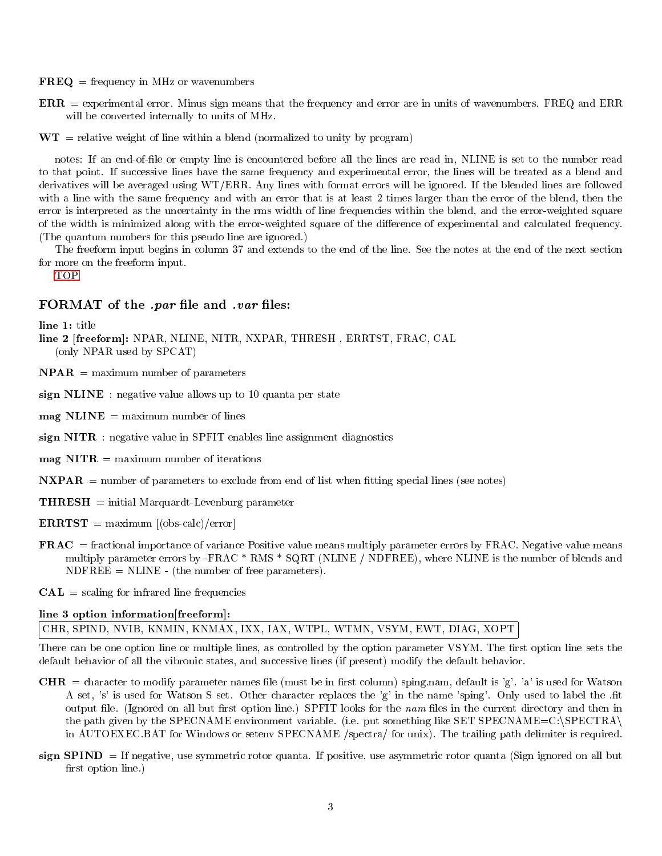- $\mathbf{FREQ} = \text{frequency in MHz or wavenumbers}$
- ERR = experimental error. Minus sign means that the frequency and error are in units of wavenumbers. FREQ and ERR will be converted internally to units of MHz.
- $WT =$  relative weight of line within a blend (normalized to unity by program)

notes: If an end-of-le or empty line is encountered before all the lines are read in, NLINE is set to the number read to that point. If successive lines have the same frequency and experimental error, the lines will be treated as a blend and derivatives will be averaged using WT/ERR. Any lines with format errors will be ignored. If the blended lines are followed with a line with the same frequency and with an error that is at least 2 times larger than the error of the blend, then the error is interpreted as the uncertainty in the rms width of line frequencies within the blend, and the error-weighted square of the width is minimized along with the error-weighted square of the dierence of experimental and calculated frequency. (The quantum numbers for this pseudo line are ignored.)

The freeform input begins in column 37 and extends to the end of the line. See the notes at the end of the next section for more on the freeform input.

<span id="page-2-0"></span>[TOP](#page-0-1)

#### FORMAT of the *.par* file and *.var* files:

line 1: title

- line 2 [freeform]: NPAR, NLINE, NITR, NXPAR, THRESH , ERRTST, FRAC, CAL (only NPAR used by SPCAT)
- $\mathbf{NPAR} = \text{maximum number of parameters}$
- sign NLINE : negative value allows up to 10 quanta per state
- $\text{mag}$  NLINE = maximum number of lines
- sign NITR : negative value in SPFIT enables line assignment diagnostics
- $\text{mag}$  NITR = maximum number of iterations
- $\bf NXPAR$  = number of parameters to exclude from end of list when fitting special lines (see notes)
- THRESH = initial Marquardt-Levenburg parameter
- $\textbf{ERRTST} = \text{maximum } [(obs\text{-}calc)/error]$
- FRAC = fractional importance of variance Positive value means multiply parameter errors by FRAC. Negative value means multiply parameter errors by -FRAC \* RMS \* SQRT (NLINE / NDFREE), where NLINE is the number of blends and  $NDFREE = NLINE - (the number of free parameters).$
- **= scaling for infrared line frequencies**

#### line 3 option information[freeform]:

### CHR, SPIND, NVIB, KNMIN, KNMAX, IXX, IAX, WTPL, WTMN, VSYM, EWT, DIAG, XOPT

There can be one option line or multiple lines, as controlled by the option parameter VSYM. The first option line sets the default behavior of all the vibronic states, and successive lines (if present) modify the default behavior.

- **CHR** = character to modify parameter names file (must be in first column) sping.nam, default is 'g'. 'a' is used for Watson A set, 's' is used for Watson S set. Other character replaces the 'g' in the name 'sping'. Only used to label the .fit output file. (Ignored on all but first option line.) SPFIT looks for the nam files in the current directory and then in the path given by the SPECNAME environment variable. (i.e. put something like SET SPECNAME=C:\SPECTRA\ in AUTOEXEC.BAT for Windows or setenv SPECNAME /spectra/ for unix). The trailing path delimiter is required.
- sign SPIND = If negative, use symmetric rotor quanta. If positive, use asymmetric rotor quanta (Sign ignored on all but first option line.)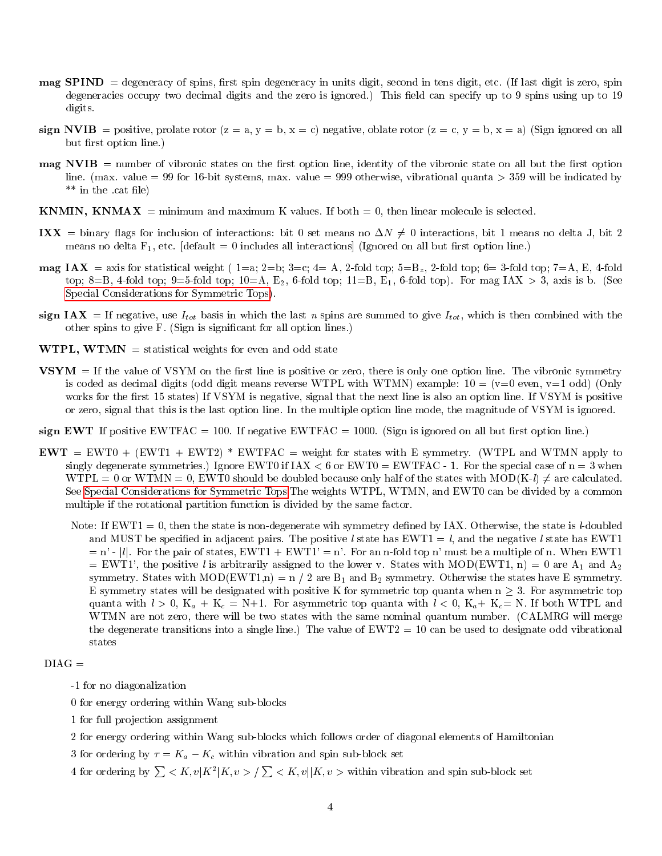- $\bf{map$   $\bf{SPIND}$  = degeneracy of spins, first spin degeneracy in units digit, second in tens digit, etc. (If last digit is zero, spin degeneracies occupy two decimal digits and the zero is ignored.) This field can specify up to 9 spins using up to 19 digits.
- sign NVIB = positive, prolate rotor  $(z = a, y = b, x = c)$  negative, oblate rotor  $(z = c, y = b, x = a)$  (Sign ignored on all but first option line.)
- $\textbf{mag}$  NVIB = number of vibronic states on the first option line, identity of the vibronic state on all but the first option line. (max. value = 99 for 16-bit systems, max. value = 999 otherwise, vibrational quanta > 359 will be indicated by  $**$  in the .cat file)
- **KNMIN, KNMAX** = minimum and maximum K values. If both = 0, then linear molecule is selected.
- IXX = binary flags for inclusion of interactions: bit 0 set means no  $\Delta N \neq 0$  interactions, bit 1 means no delta J, bit 2 means no delta  $F_1$ , etc. [default = 0 includes all interactions] (Ignored on all but first option line.)
- **mag IAX** = axis for statistical weight ( $1=a$ ;  $2=b$ ;  $3=c$ ;  $4=A$ ,  $2$ -fold top;  $5=B_z$ ,  $2$ -fold top;  $6=3$ -fold top;  $7=A$ , E,  $4$ -fold top; 8=B, 4-fold top; 9=5-fold top; 10=A,  $E_2$ , 6-fold top; 11=B,  $E_1$ , 6-fold top). For mag IAX > 3, axis is b. (See [Special Considerations for Symmetric Tops\)](#page-12-1).
- sign IAX = If negative, use  $I_{tot}$  basis in which the last n spins are summed to give  $I_{tot}$ , which is then combined with the other spins to give F. (Sign is signicant for all option lines.)
- **WTPL, WTMN** = statistical weights for even and odd state
- $VSYM =$  If the value of VSYM on the first line is positive or zero, there is only one option line. The vibronic symmetry is coded as decimal digits (odd digit means reverse WTPL with WTMN) example:  $10 = (v=0$  even,  $v=1$  odd) (Only works for the first 15 states) If VSYM is negative, signal that the next line is also an option line. If VSYM is positive or zero, signal that this is the last option line. In the multiple option line mode, the magnitude of VSYM is ignored.

sign EWT If positive EWTFAC = 100. If negative EWTFAC = 1000. (Sign is ignored on all but first option line.)

- $EWT = EWT0 + (EWT1 + EWT2) * EWTFAC =$  weight for states with E symmetry. (WTPL and WTMN apply to singly degenerate symmetries.) Ignore EWT0 if  $\text{IAX} < 6$  or EWT0 = EWTFAC - 1. For the special case of  $n = 3$  when  $WTPL = 0$  or  $WTMN = 0$ , EWT0 should be doubled because only half of the states with  $MOD(K-l) \neq$  are calculated. See [Special Considerations for Symmetric Tops.](#page-12-1)The weights WTPL, WTMN, and EWT0 can be divided by a common multiple if the rotational partition function is divided by the same factor.
	- Note: If  $EWT1 = 0$ , then the state is non-degenerate wih symmetry defined by IAX. Otherwise, the state is *l*-doubled and MUST be specified in adjacent pairs. The positive l state has  $EWT1 = l$ , and the negative l state has  $EWT1$  $=$  n' - |l|. For the pair of states, EWT1 + EWT1' = n'. For an n-fold top n' must be a multiple of n. When EWT1  $=$  EWT1', the positive l is arbitrarily assigned to the lower v. States with MOD(EWT1, n) = 0 are A<sub>1</sub> and A<sub>2</sub> symmetry. States with MOD(EWT1,n) =  $n / 2$  are  $B_1$  and  $B_2$  symmetry. Otherwise the states have E symmetry. E symmetry states will be designated with positive K for symmetric top quanta when  $n \geq 3$ . For asymmetric top quanta with  $l > 0$ ,  $K_a + K_c = N+1$ . For asymmetric top quanta with  $l < 0$ ,  $K_a + K_c = N$ . If both WTPL and WTMN are not zero, there will be two states with the same nominal quantum number. (CALMRG will merge the degenerate transitions into a single line.) The value of  $EWT2 = 10$  can be used to designate odd vibrational states

$$
\mathrm{DIAG} =
$$

- -1 for no diagonalization
- 0 for energy ordering within Wang sub-blocks
- 1 for full projection assignment
- 2 for energy ordering within Wang sub-blocks which follows order of diagonal elements of Hamiltonian
- 3 for ordering by  $\tau = K_a K_c$  within vibration and spin sub-block set
- 4 for ordering by  $\sum K$ ,  $v|K^2|K$ ,  $v > \sqrt{\sum K}$ ,  $v|K$ ,  $v >$  within vibration and spin sub-block set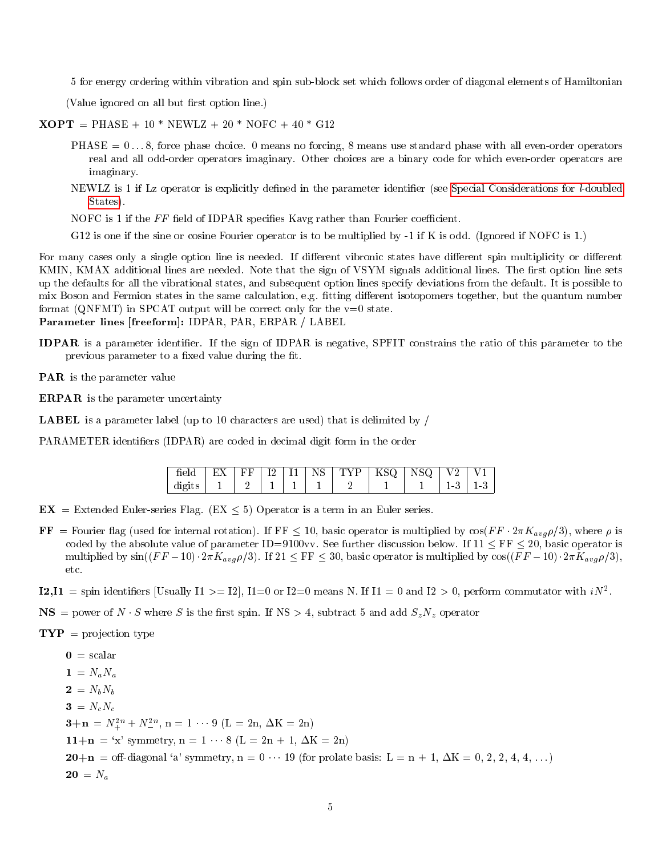5 for energy ordering within vibration and spin sub-block set which follows order of diagonal elements of Hamiltonian

(Value ignored on all but first option line.)

- $XOPT = PHASE + 10 * NEWLZ + 20 * NOFC + 40 * G12$ 
	- $PHASE = 0...8$ , force phase choice. 0 means no forcing, 8 means use standard phase with all even-order operators real and all odd-order operators imaginary. Other choices are a binary code for which even-order operators are imaginary.
	- NEWLZ is 1 if Lz operator is explicitly defined in the parameter identifier (see [Special Considerations for](#page-12-0) *l*-doubled [States\)](#page-12-0).
	- NOFC is 1 if the  $FF$  field of IDPAR specifies Kavg rather than Fourier coefficient.
	- G12 is one if the sine or cosine Fourier operator is to be multiplied by -1 if K is odd. (Ignored if NOFC is 1.)

For many cases only a single option line is needed. If different vibronic states have different spin multiplicity or different KMIN, KMAX additional lines are needed. Note that the sign of VSYM signals additional lines. The first option line sets up the defaults for all the vibrational states, and subsequent option lines specify deviations from the default. It is possible to mix Boson and Fermion states in the same calculation, e.g. fitting different isotopomers together, but the quantum number format (QNFMT) in SPCAT output will be correct only for the  $v=0$  state. Parameter lines [freeform]: IDPAR, PAR, ERPAR / LABEL

- IDPAR is a parameter identier. If the sign of IDPAR is negative, SPFIT constrains the ratio of this parameter to the previous parameter to a fixed value during the fit.
- PAR is the parameter value
- ERPAR is the parameter uncertainty
- LABEL is a parameter label (up to 10 characters are used) that is delimited by /

PARAMETER identiers (IDPAR) are coded in decimal digit form in the order

| field  |  |  | $\mid$ EX $\mid$ FF $\mid$ I2 $\mid$ I1 $\mid$ NS $\mid$ TYP $\mid$ KSQ $\mid$ NSQ $\mid$ V2 $\mid$ V1 |  |               |  |
|--------|--|--|--------------------------------------------------------------------------------------------------------|--|---------------|--|
| digits |  |  |                                                                                                        |  | $13 \mid 1-3$ |  |

- $EX =$  Extended Euler-series Flag. (EX  $\leq$  5) Operator is a term in an Euler series.
- FF = Fourier flag (used for internal rotation). If FF < 10, basic operator is multiplied by  $\cos(FF \cdot 2\pi K_{avg}\rho/3)$ , where  $\rho$  is coded by the absolute value of parameter ID=9100vv. See further discussion below. If  $11 < FF < 20$ , basic operator is multiplied by  $sin((FF-10) \cdot 2\pi K_{avg}\rho/3)$ . If  $21 \leq FF \leq 30$ , basic operator is multiplied by  $cos((FF-10) \cdot 2\pi K_{avg}\rho/3)$ , etc.
- **I2,I1** = spin identifiers [Usually I1 >= I2], I1=0 or I2=0 means N. If I1 = 0 and I2 > 0, perform commutator with  $iN^2$ .
- $\text{NS}$  = power of N  $\cdot$  S where S is the first spin. If NS > 4, subtract 5 and add  $S_zN_z$  operator

 $\mathbf{TP}$  = projection type

 $\mathbf{0} = \text{scalar}$  $1 = N_a N_a$  $2 = N_b N_b$  $3 = N_c N_c$  $3+n = N_+^{2n} + N_-^{2n}$ , n = 1 ··· 9 (L = 2n,  $\Delta K = 2n$ ) 11+ $n = 'x'$  symmetry,  $n = 1 \cdots 8$  (L = 2n + 1,  $\Delta K = 2n$ )  $20+n =$  off-diagonal 'a' symmetry,  $n = 0 \cdots 19$  (for prolate basis:  $L = n + 1$ ,  $\Delta K = 0, 2, 2, 4, 4, \ldots$ )  $20 = N_a$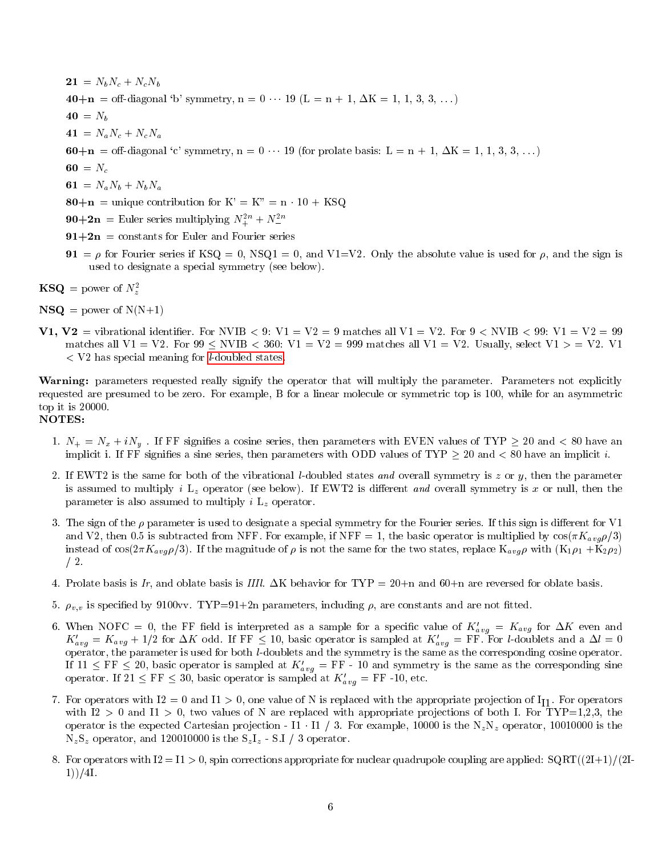$21 = N_bN_c + N_cN_b$ 40+n = off-diagonal 'b' symmetry, n =  $0 \cdots 19$  (L = n + 1,  $\Delta K = 1, 1, 3, 3, \ldots$ )  $40 = N_b$  $41 = N_a N_c + N_c N_a$ 60+n = off-diagonal 'c' symmetry, n =  $0 \cdots 19$  (for prolate basis: L = n + 1,  $\Delta K = 1, 1, 3, 3, \ldots$ ) 60 =  $N_c$ 61 =  $N_a N_b + N_b N_a$  $80+n$  = unique contribution for  $K' = K'' = n \cdot 10 + KSQ$  $90+2n$  = Euler series multiplying  $N_+^{2n} + N_-^{2n}$ Ξ  $91+2n$  = constants for Euler and Fourier series 91 =  $\rho$  for Fourier series if KSQ = 0, NSQ1 = 0, and V1=V2. Only the absolute value is used for  $\rho$ , and the sign is

- used to designate a special symmetry (see below).  $\textbf{KSQ} = \text{power of } N_z^2$
- $NSQ = power of N(N+1)$
- **V1, V2** = vibrational identifier. For NVIB  $\leq$  9: V1 = V2 = 9 matches all V1 = V2. For 9  $\leq$  NVIB  $\leq$  99: V1 = V2 = 99 matches all V1 = V2. For  $99 \leq NVIB < 360$ : V1 = V2 = 999 matches all V1 = V2. Usually, select V1 > = V2. V1 <sup>&</sup>lt; V2 has special meaning for [l-doubled states.](#page-12-0)

Warning: parameters requested really signify the operator that will multiply the parameter. Parameters not explicitly requested are presumed to be zero. For example, B for a linear molecule or symmetric top is 100, while for an asymmetric top it is 20000.

#### NOTES:

- 1.  $N_+ = N_x + iN_y$ . If FF signifies a cosine series, then parameters with EVEN values of TYP  $\geq 20$  and  $\lt 80$  have an implicit i. If FF signifies a sine series, then parameters with ODD values of TYP  $\geq$  20 and  $\lt$  80 have an implicit *i*.
- 2. If EWT2 is the same for both of the vibrational *l*-doubled states and overall symmetry is z or y, then the parameter is assumed to multiply i  $L_z$  operator (see below). If EWT2 is different and overall symmetry is x or null, then the parameter is also assumed to multiply  $i$  L<sub>z</sub> operator.
- 3. The sign of the  $\rho$  parameter is used to designate a special symmetry for the Fourier series. If this sign is different for V1 and V2, then 0.5 is subtracted from NFF. For example, if NFF = 1, the basic operator is multiplied by  $\cos(\pi K_{avg}\rho/3)$ instead of cos( $2\pi K_{avg}\rho/3$ ). If the magnitude of  $\rho$  is not the same for the two states, replace  $K_{avg}\rho$  with  $(K_1\rho_1 + K_2\rho_2)$ / 2.
- 4. Prolate basis is Ir, and oblate basis is IIII.  $\Delta K$  behavior for TYP = 20+n and 60+n are reversed for oblate basis.
- 5.  $\rho_{v,v}$  is specified by 9100vv. TYP=91+2n parameters, including  $\rho$ , are constants and are not fitted.
- 6. When NOFC = 0, the FF field is interpreted as a sample for a specific value of  $K_{avg}^{\prime} = K_{avg}$  for  $\Delta K$  even and  $K_{avg}' = K_{avg} + 1/2$  for  $\Delta K$  odd. If FF  $\leq 10$ , basic operator is sampled at  $K_{avg}' =$  FF. For *l*-doublets and a  $\Delta l = 0$ operator, the parameter is used for both l-doublets and the symmetry is the same as the corresponding cosine operator. If  $11 \leq FF \leq 20$ , basic operator is sampled at  $K_{avg}' = FF - 10$  and symmetry is the same as the corresponding sine operator. If  $21 \leq FF \leq 30$ , basic operator is sampled at  $K'_{avg} = FF$  -10, etc.
- 7. For operators with  $I2 = 0$  and  $I1 > 0$ , one value of N is replaced with the appropriate projection of  $I_{I1}$ . For operators with I2 > 0 and I1 > 0, two values of N are replaced with appropriate projections of both I. For TYP=1,2,3, the operator is the expected Cartesian projection - I1  $\cdot$  I1 / 3. For example, 10000 is the N<sub>z</sub>N<sub>z</sub> operator, 10010000 is the  $N_zS_z$  operator, and 120010000 is the  $S_zI_z$  - S.I / 3 operator.
- 8. For operators with  $I2 = I1 > 0$ , spin corrections appropriate for nuclear quadrupole coupling are applied:  $SQRT((2I+1)/(2I+1))$ 1))/4I.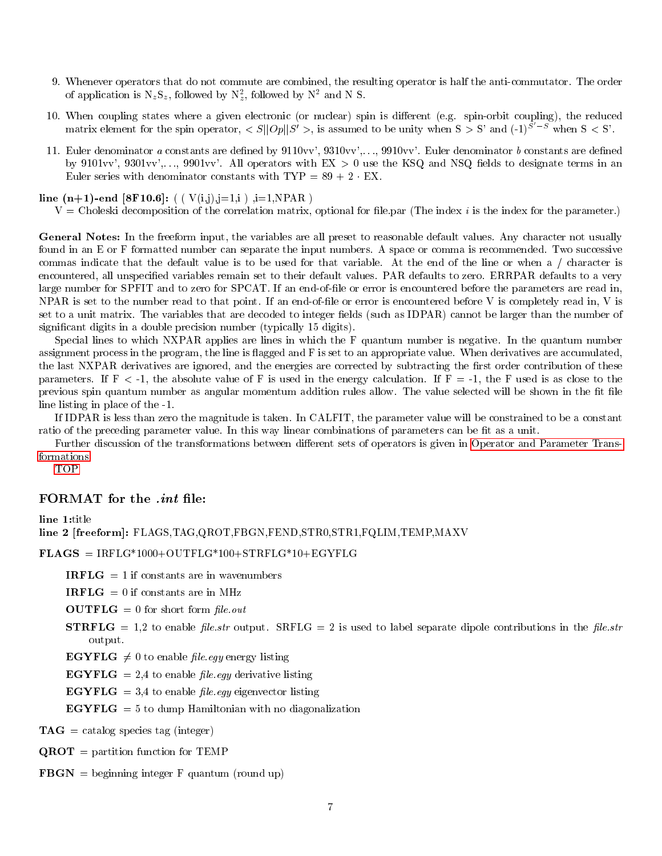- 9. Whenever operators that do not commute are combined, the resulting operator is half the anti-commutator. The order of application is  $N_zS_z$ , followed by  $N_z^2$ , followed by  $N^2$  and N S.
- 10. When coupling states where a given electronic (or nuclear) spin is different (e.g. spin-orbit coupling), the reduced matrix element for the spin operator,  $\langle S||Op||S'\rangle$ , is assumed to be unity when  $S > S'$  and  $(-1)^{S'-S}$  when  $S < S'$ .
- 11. Euler denominator a constants are defined by  $9110vv'$ ,  $9310vv'$ , ...,  $9910vv'$ . Euler denominator b constants are defined by 9101vv', 9301vv', ..., 9901vv'. All operators with  $EX > 0$  use the KSQ and NSQ fields to designate terms in an Euler series with denominator constants with  $TYP = 89 + 2 \cdot EX$ .

line  $(n+1)$ -end [8F10.6]:  $( ( V(i,j), j=1,i )$ ,  $i=1, NPAR )$ 

 $V =$  Choleski decomposition of the correlation matrix, optional for file.par (The index i is the index for the parameter.)

General Notes: In the freeform input, the variables are all preset to reasonable default values. Any character not usually found in an E or F formatted number can separate the input numbers. A space or comma is recommended. Two successive commas indicate that the default value is to be used for that variable. At the end of the line or when a / character is encountered, all unspecied variables remain set to their default values. PAR defaults to zero. ERRPAR defaults to a very large number for SPFIT and to zero for SPCAT. If an end-of-file or error is encountered before the parameters are read in, NPAR is set to the number read to that point. If an end-of-file or error is encountered before V is completely read in, V is set to a unit matrix. The variables that are decoded to integer fields (such as IDPAR) cannot be larger than the number of significant digits in a double precision number (typically 15 digits).

Special lines to which NXPAR applies are lines in which the F quantum number is negative. In the quantum number assignment process in the program, the line is 
agged and F is set to an appropriate value. When derivatives are accumulated, the last NXPAR derivatives are ignored, and the energies are corrected by subtracting the first order contribution of these parameters. If  $F < -1$ , the absolute value of F is used in the energy calculation. If  $F = -1$ , the F used is as close to the previous spin quantum number as angular momentum addition rules allow. The value selected will be shown in the fit file line listing in place of the -1.

If IDPAR is less than zero the magnitude is taken. In CALFIT, the parameter value will be constrained to be a constant ratio of the preceding parameter value. In this way linear combinations of parameters can be fit as a unit.

Further discussion of the transformations between different sets of operators is given in [Operator and Parameter Trans](#page-9-2)[formations.](#page-9-2)

<span id="page-6-0"></span>[TOP](#page-0-1)

### FORMAT for the *.int* file:

#### line 1:title

line 2 [freeform]: FLAGS,TAG,QROT,FBGN,FEND,STR0,STR1,FQLIM,TEMP,MAXV

 $\mathbf{FLAGS} = \text{IRFLG*1000} + \text{OUTFLG*100} + \text{STRFLG*10} + \text{EGYFLG}$ 

**IRFLG**  $= 1$  if constants are in wavenumbers

**IRFLG** = 0 if constants are in MHz

 $\textbf{OUTFLG} = 0$  for short form file.out

**STRFLG** = 1,2 to enable file str output. SRFLG = 2 is used to label separate dipole contributions in the file str output.

**EGYFLG**  $\neq 0$  to enable *file.egy* energy listing

 $\mathbf{EGYFLG} = 2.4$  to enable file egy derivative listing

 $\mathbf{EGYFLG} = 3.4$  to enable file egy eigenvector listing

 $EGYFLG = 5$  to dump Hamiltonian with no diagonalization

 $TAG =$  catalog species tag (integer)

 $\mathbf{QROT}$  = partition function for TEMP

 $\mathbf{FBGN} = \text{beginning integer} F$  quantum (round up)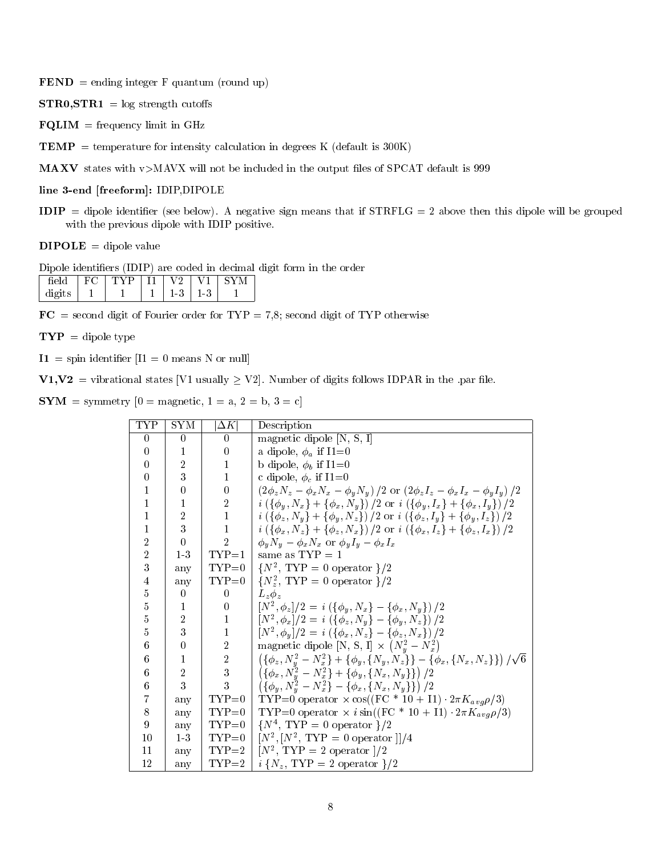$\mathbf{FEND} = \text{ending integer } F \text{ quantum (round up)}$ 

 $STR0,STR1 = log strength cutoffs$ 

 **= frequency limit in GHz** 

**TEMP** = temperature for intensity calculation in degrees K (default is  $300K$ )

MAXV states with v>MAVX will not be included in the output files of SPCAT default is 999

### line 3-end [freeform]: IDIP,DIPOLE

 $IDIP = dipole identifier (see below). A negative sign means that if  $STRFLG = 2$  above then this dipole will be grouped$ with the previous dipole with IDIP positive.

 $DIPOLE = dipole value$ 

Dipole identiers (IDIP) are coded in decimal digit form in the order

|        | $\tilde{\phantom{a}}$ |  |    |                 |  |
|--------|-----------------------|--|----|-----------------|--|
| digits |                       |  | ιó | $\Omega$<br>l J |  |

 $FC =$  second digit of Fourier order for  $TYP = 7,8$ ; second digit of TYP otherwise

 $\mathbf{TYP} = \text{dipole type}$ 

 $I1 =$  spin identifier  $[I1 = 0$  means N or null

 $V1, V2 =$  vibrational states [V1 usually  $\geq$  V2]. Number of digits follows IDPAR in the .par file.

 $SYM = symmetry [0 = magnetic, 1 = a, 2 = b, 3 = c]$ 

| TYP            | SYM            | $\Delta K$       | Description                                                                                                                              |
|----------------|----------------|------------------|------------------------------------------------------------------------------------------------------------------------------------------|
| $\theta$       | $\theta$       | $\Omega$         | magnetic dipole $[N, S, I]$                                                                                                              |
| $\Omega$       | 1              | $\overline{0}$   | a dipole, $\phi_a$ if $I1=0$                                                                                                             |
| $\theta$       | $\overline{2}$ | 1                | b dipole, $\phi_b$ if I1=0                                                                                                               |
| $\theta$       | 3              | $\mathbf{1}$     | c dipole, $\phi_c$ if I1=0                                                                                                               |
| 1              | $\Omega$       | $\boldsymbol{0}$ | $(2\phi_z N_z - \phi_x N_x - \phi_y N_y)/2$ or $(2\phi_z I_z - \phi_x I_x - \phi_y I_y)/2$                                               |
| 1              | 1              | $\sqrt{2}$       | $\left(i \left(\{\phi_y, N_x\} + \{\phi_x, N_y\}\right)/2 \text{ or } i \left(\{\phi_y, I_x\} + \{\phi_x, I_y\}\right)/2\right)$         |
| 1              | $\overline{2}$ | $\mathbf{1}$     | $\left(i \left({\{\phi_z, N_y\}} + {\{\phi_u, N_z\}}\right)/2 \text{ or } i \left({\{\phi_z, I_y\}} + {\{\phi_u, I_z\}}\right)/2\right)$ |
| 1              | 3              | $\mathbf{1}$     | $\left(i \left(\{\phi_x, N_z\}+\{\phi_z, N_x\}\right)/2 \text{ or } i \left(\{\phi_x, I_z\}+\{\phi_z, I_x\}\right)/2\right)$             |
| $\overline{2}$ | $\Omega$       | $\overline{2}$   | $\phi_y N_y - \phi_x N_x$ or $\phi_y I_y - \phi_x I_x$                                                                                   |
| $\overline{2}$ | 13             | $TYP=1$          | same as $TYP = 1$                                                                                                                        |
| 3              | any            |                  | TYP=0   $\{N^2, \text{ TYP} = 0 \text{ operator } \}/2$                                                                                  |
| 4              | any            | $TYP=0$          | $\{N_z^2, \text{ Type } = 0 \text{ operator }\}/2$                                                                                       |
| $\bf 5$        | $\Omega$       | $\boldsymbol{0}$ | $L_{\nu}\phi_{\nu}$                                                                                                                      |
| $\overline{5}$ | 1              | $\boldsymbol{0}$ | $[N^2,\phi_z]/2 = i (\{\phi_y,N_x\} - {\phi_x, N_y\})/2$                                                                                 |
| $\overline{5}$ | $\overline{2}$ | $\mathbf 1$      | $\left[ N^2, \phi_x \right] / 2 = i \left( \{\phi_z, N_y\} - \{\phi_y, N_z\} \right) / 2$                                                |
| 5              | 3              | $\mathbf{1}$     | $[N^2,\phi_y]/2 = i \left( {\phi_x, N_z} - {\phi_z, N_x} \right)/2$                                                                      |
| 6              | $\theta$       | $\sqrt{2}$       | magnetic dipole [N, S, I] $\times (N_u^2 - N_x^2)$                                                                                       |
| 6              | 1              | $\,2$            | $(\{\phi_z, N_y^2-N_x^2\}+\{\phi_y, \{N_y, N_z\}\}-\{\phi_x, \{N_x, N_z\}\})/\sqrt{6}$                                                   |
| 6              | $\overline{2}$ | 3                | $(\{\phi_x, N_y^2-N_x^2\}+\{\phi_y, \{N_x, N_y\}\})/2$                                                                                   |
| 6              | 3              | 3                | $(\{\phi_y, N_y^2-N_x^2\}-\{\phi_x,\{N_x,N_y\}\})/2$                                                                                     |
| 7              | any            | $TYP=0$          | TYP=0 operator $\times$ cos((FC * 10 + I1) $2\pi K_{avg}\rho/3$ )                                                                        |
| 8              | any            | $TYP=0$          | TYP=0 operator $\times$ isin((FC * 10 + I1) $2\pi K_{avg}\rho/3$ )                                                                       |
| 9              | any            | $TYP=0$          | $\{N^4, \text{ Type } = 0 \text{ operator }\}/2$                                                                                         |
| 10             | $1-3$          |                  | TYP=0   $[N^2, [N^2, TYP = 0]$ operator $]/4$                                                                                            |
| 11             | any            |                  | TYP=2   $[N^2, TYP = 2$ operator $]/2$                                                                                                   |
| 12             | any            | $TYP=2$          | $i\{N_z, \text{TYP} = 2 \text{ operator }\}/2$                                                                                           |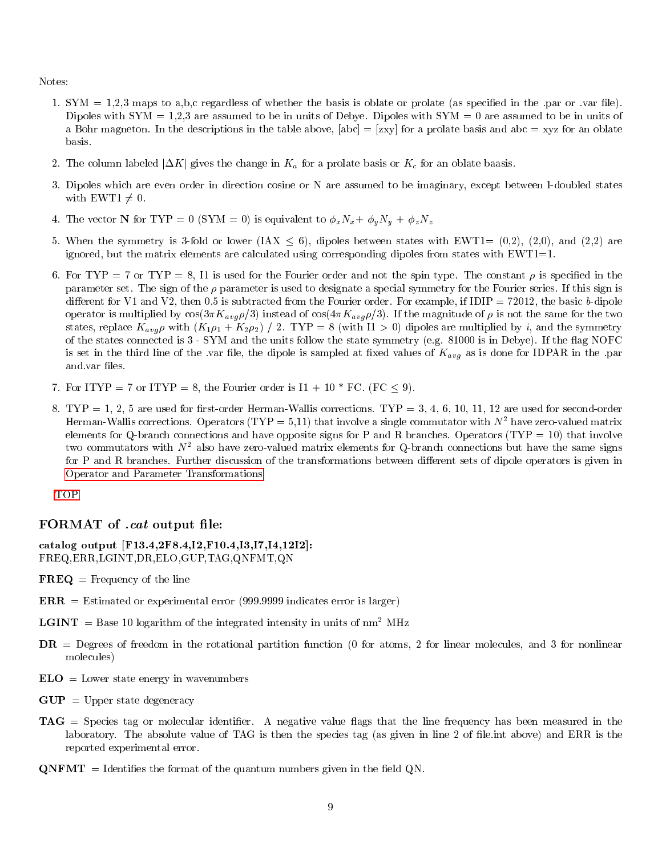Notes:

- 1. SYM  $= 1,2,3$  maps to a,b,c regardless of whether the basis is oblate or prolate (as specified in the .par or .var file). Dipoles with  $SYM = 1,2,3$  are assumed to be in units of Debye. Dipoles with  $SYM = 0$  are assumed to be in units of a Bohr magneton. In the descriptions in the table above,  $[abc] = [zxy]$  for a prolate basis and abc = xyz for an oblate basis.
- 2. The column labeled  $|\Delta K|$  gives the change in  $K_a$  for a prolate basis or  $K_c$  for an oblate baasis.
- 3. Dipoles which are even order in direction cosine or N are assumed to be imaginary, except between l-doubled states with EWT1  $\neq$  0.
- 4. The vector N for TYP = 0 (SYM = 0) is equivalent to  $\phi_x N_x + \phi_y N_y + \phi_z N_z$
- 5. When the symmetry is 3-fold or lower (IAX  $\leq$  6), dipoles between states with EWT1= (0,2), (2,0), and (2,2) are ignored, but the matrix elements are calculated using corresponding dipoles from states with  $EWT1=1$ .
- 6. For TYP = 7 or TYP = 8, I1 is used for the Fourier order and not the spin type. The constant  $\rho$  is specified in the parameter set. The sign of the  $\rho$  parameter is used to designate a special symmetry for the Fourier series. If this sign is different for V1 and V2, then 0.5 is subtracted from the Fourier order. For example, if  $IDIP = 72012$ , the basic b-dipole operator is multiplied by  $\cos(3\pi K_{avg}\rho/3)$  instead of  $\cos(4\pi K_{avg}\rho/3)$ . If the magnitude of  $\rho$  is not the same for the two states, replace  $K_{avg} \rho$  with  $(K_1 \rho_1 + K_2 \rho_2)$  / 2. TYP = 8 (with I1 > 0) dipoles are multiplied by i, and the symmetry of the states connected is 3 - SYM and the units follow the state symmetry (e.g. 81000 is in Debye). If the 
ag NOFC is set in the third line of the .var file, the dipole is sampled at fixed values of  $K_{avg}$  as is done for IDPAR in the .par and var files.
- 7. For ITYP = 7 or ITYP = 8, the Fourier order is  $I1 + 10 * FC$ . (FC < 9).
- 8. TYP = 1, 2, 5 are used for first-order Herman-Wallis corrections. TYP = 3, 4, 6, 10, 11, 12 are used for second-order Herman-Wallis corrections. Operators (TYP = 5,11) that involve a single commutator with  $N^2$  have zero-valued matrix elements for Q-branch connections and have opposite signs for P and R branches. Operators (TYP = 10) that involve two commutators with  $N^2$  also have zero-valued matrix elements for Q-branch connections but have the same signs for P and R branches. Further discussion of the transformations between different sets of dipole operators is given in [Operator and Parameter Transformations.](#page-9-2)

<span id="page-8-0"></span>[TOP](#page-0-1)

#### FORMAT of *cat* output file:

catalog output [F13.4,2F8.4,I2,F10.4,I3,I7,I4,12I2]: FREQ,ERR,LGINT,DR,ELO,GUP,TAG,QNFMT,QN

- $\mathbf{FREQ} = \text{Frequency of the line}$
- $\text{ERR} =$  Estimated or experimental error (999.9999 indicates error is larger)
- **LGINT** = Base 10 logarithm of the integrated intensity in units of  $nm^2$  MHz
- DR = Degrees of freedom in the rotational partition function (0 for atoms, 2 for linear molecules, and 3 for nonlinear molecules)
- $ELO =$ Lower state energy in wavenumbers
- $GUP = Upper$  state degeneracy
- TAG = Species tag or molecular identifier. A negative value flags that the line frequency has been measured in the laboratory. The absolute value of TAG is then the species tag (as given in line 2 of file.int above) and ERR is the reported experimental error.
- $\mathbf{QNFMT}$  = Identifies the format of the quantum numbers given in the field QN.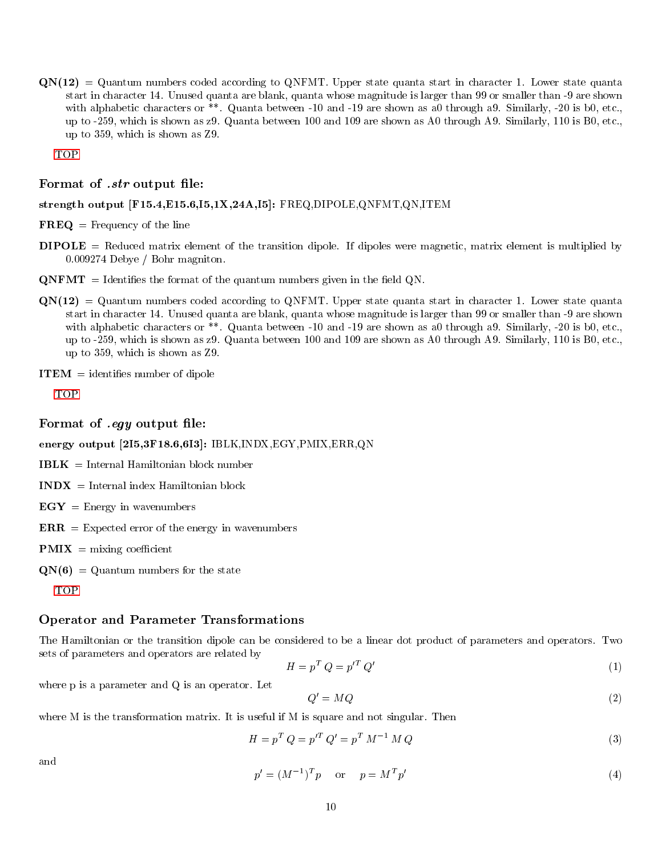$QN(12) = Quantum numbers coded according to QNFMT. Upper state quanta start in character 1. Lower state quanta$ start in character 14. Unused quanta are blank, quanta whose magnitude is larger than 99 or smaller than -9 are shown with alphabetic characters or \*\*. Quanta between -10 and -19 are shown as a0 through a9. Similarly, -20 is b0, etc., up to -259, which is shown as z9. Quanta between 100 and 109 are shown as A0 through A9. Similarly, 110 is B0, etc., up to 359, which is shown as Z9.

<span id="page-9-0"></span>[TOP](#page-0-1)

#### Format of .str output file:

#### strength output [F15.4,E15.6,I5,1X,24A,I5]: FREQ,DIPOLE,QNFMT,QN,ITEM

 $\mathbf{FREQ} = \text{Frequency of the line}$ 

- DIPOLE = Reduced matrix element of the transition dipole. If dipoles were magnetic, matrix element is multiplied by 0.009274 Debye / Bohr magniton.
- $\mathbf{QNFMT}$  = Identifies the format of the quantum numbers given in the field QN.
- $\text{QN}(12) = \text{Quantum numbers coded according to QNFMT. Upper state quanta start in character 1. Lower state quanta$ start in character 14. Unused quanta are blank, quanta whose magnitude is larger than 99 or smaller than -9 are shown with alphabetic characters or \*\*. Quanta between -10 and -19 are shown as a0 through a9. Similarly, -20 is b0, etc., up to -259, which is shown as z9. Quanta between 100 and 109 are shown as A0 through A9. Similarly, 110 is B0, etc., up to 359, which is shown as Z9.

 $$ 

<span id="page-9-1"></span>[TOP](#page-0-1)

### Format of *eqy* output file:

energy output [2I5,3F18.6,6I3]: IBLK,INDX,EGY,PMIX,ERR,QN

- $IBLK = Internal Hamiltonian block number$
- $$
- $EGY =$  Energy in wavenumbers
- $\mathbf{ERR} =$  Expected error of the energy in wavenumbers
- $PMIX =$  mixing coefficient
- $QN(6) = Quantum numbers for the state$

<span id="page-9-2"></span>[TOP](#page-0-1)

### Operator and Parameter Transformations

The Hamiltonian or the transition dipole can be considered to be a linear dot product of parameters and operators. Two sets of parameters and operators are related by

$$
H = p^T Q = p'^T Q' \tag{1}
$$

where p is a parameter and Q is an operator. Let

<span id="page-9-3"></span>
$$
Q' = MQ \tag{2}
$$

where M is the transformation matrix. It is useful if M is square and not singular. Then

$$
H = p^T Q = p'^T Q' = p^T M^{-1} M Q
$$
\n(3)

and

$$
p' = (M^{-1})^T p \qquad \text{or} \qquad p = M^T p' \tag{4}
$$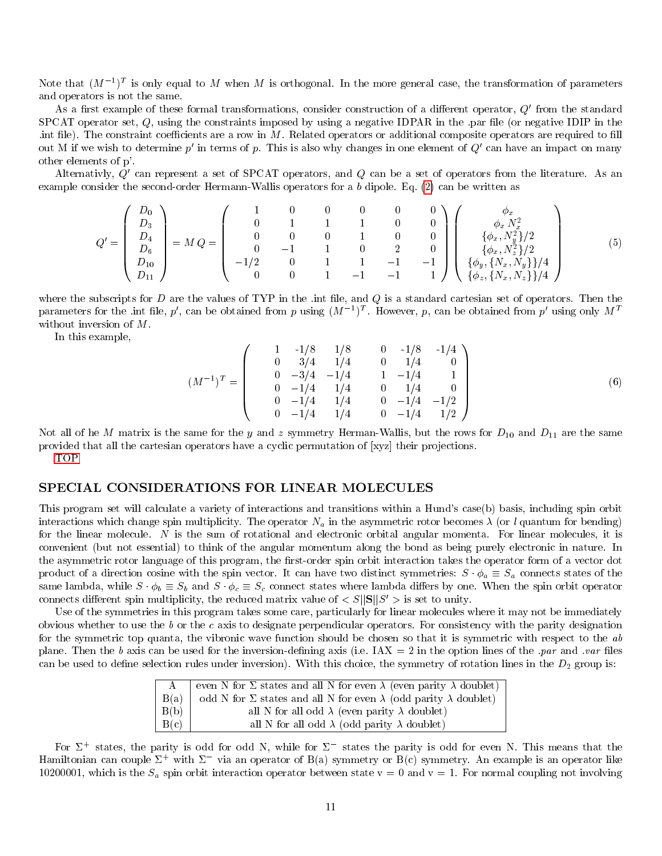Note that  $(M^{-1})^T$  is only equal to M when M is orthogonal. In the more general case, the transformation of parameters and operators is not the same.

As a first example of these formal transformations, consider construction of a different operator,  $Q'$  from the standard SPCAT operator set,  $Q$ , using the constraints imposed by using a negative IDPAR in the .par file (or negative IDIP in the . int file). The constraint coefficients are a row in  $M$ . Related operators or additional composite operators are required to fill out M if we wish to determine  $p'$  in terms of p. This is also why changes in one element of  $Q'$  can have an impact on many other elements of p'.

Alternativly,  $Q'$  can represent a set of SPCAT operators, and  $Q$  can be a set of operators from the literature. As an example consider the second-order Hermann-Wallis operators for a b dipole. Eq. [\(2\)](#page-9-3) can be written as

$$
Q' = \begin{pmatrix} D_0 \\ D_3 \\ D_4 \\ D_6 \\ D_{10} \\ D_{11} \end{pmatrix} = M Q = \begin{pmatrix} 1 & 0 & 0 & 0 & 0 & 0 \\ 0 & 1 & 1 & 1 & 0 & 0 \\ 0 & 0 & 0 & 1 & 0 & 0 \\ 0 & -1 & 1 & 0 & 2 & 0 \\ -1/2 & 0 & 1 & 1 & -1 & -1 \\ 0 & 0 & 1 & -1 & -1 & 1 \end{pmatrix} \begin{pmatrix} \phi_x \\ \phi_x N_x^2 \\ \{\phi_x, N_y^2\}/2 \\ \{\phi_y, \{N_x, N_y\}\}/4 \\ \{\phi_y, \{N_x, N_y\}\}/4 \end{pmatrix}
$$
(5)

where the subscripts for  $D$  are the values of TYP in the .int file, and  $Q$  is a standard cartesian set of operators. Then the parameters for the .int file, p', can be obtained from p using  $(M^{-1})^T$ . However, p, can be obtained from p' using only  $M^T$ without inversion of <sup>M</sup>.

In this example,

$$
(M^{-1})^T = \begin{pmatrix} 1 & -1/8 & 1/8 & 0 & -1/8 & -1/4 \\ 0 & 3/4 & 1/4 & 0 & 1/4 & 0 \\ 0 & -3/4 & -1/4 & 1 & -1/4 & 1 \\ 0 & -1/4 & 1/4 & 0 & 1/4 & 0 \\ 0 & -1/4 & 1/4 & 0 & -1/4 & -1/2 \\ 0 & -1/4 & 1/4 & 0 & -1/4 & 1/2 \end{pmatrix}
$$
(6)

Not all of he M matrix is the same for the y and z symmetry Herman-Wallis, but the rows for  $D_{10}$  and  $D_{11}$  are the same provided that all the cartesian operators have a cyclic permutation of [xyz] their projections.

<span id="page-10-0"></span>[TOP](#page-0-1)

### SPECIAL CONSIDERATIONS FOR LINEAR MOLECULES

This program set will calculate a variety of interactions and transitions within a Hund's case(b) basis, including spin orbit interactions which change spin multiplicity. The operator  $N_a$  in the asymmetric rotor becomes  $\lambda$  (or l quantum for bending) for the linear molecule. <sup>N</sup> is the sum of rotational and electronic orbital angular momenta. For linear molecules, it is convenient (but not essential) to think of the angular momentum along the bond as being purely electronic in nature. In the asymmetric rotor language of this program, the first-order spin orbit interaction takes the operator form of a vector dot product of a direction cosine with the spin vector. It can have two distinct symmetries:  $S \cdot \phi_a \equiv S_a$  connects states of the same lambda, while  $S \cdot \phi_b \equiv S_b$  and  $S \cdot \phi_c \equiv S_c$  connect states where lambda differs by one. When the spin orbit operator connects different spin multiplicity, the reduced matrix value of  $\langle S||S||S' \rangle$  is set to unity.

Use of the symmetries in this program takes some care, particularly for linear molecules where it may not be immediately obvious whether to use the  $b$  or the c axis to designate perpendicular operators. For consistency with the parity designation for the symmetric top quanta, the vibronic wave function should be chosen so that it is symmetric with respect to the ab plane. Then the b axis can be used for the inversion-defining axis (i.e.  $\text{IAX} = 2$  in the option lines of the *par* and *var* files can be used to define selection rules under inversion). With this choice, the symmetry of rotation lines in the  $D_2$  group is:

| A    | even N for $\Sigma$ states and all N for even $\lambda$ (even parity $\lambda$ doublet) |
|------|-----------------------------------------------------------------------------------------|
| B(a) | odd N for $\Sigma$ states and all N for even $\lambda$ (odd parity $\lambda$ doublet)   |
| B(b) | all N for all odd $\lambda$ (even parity $\lambda$ doublet)                             |
| B(c) | all N for all odd $\lambda$ (odd parity $\lambda$ doublet)                              |

For  $\Sigma^+$  states, the parity is odd for odd N, while for  $\Sigma^-$  states the parity is odd for even N. This means that the Hamiltonian can couple  $\Sigma^+$  with  $\Sigma^-$  via an operator of B(a) symmetry or B(c) symmetry. An example is an operator like 10200001, which is the  $S_a$  spin orbit interaction operator between state  $v = 0$  and  $v = 1$ . For normal coupling not involving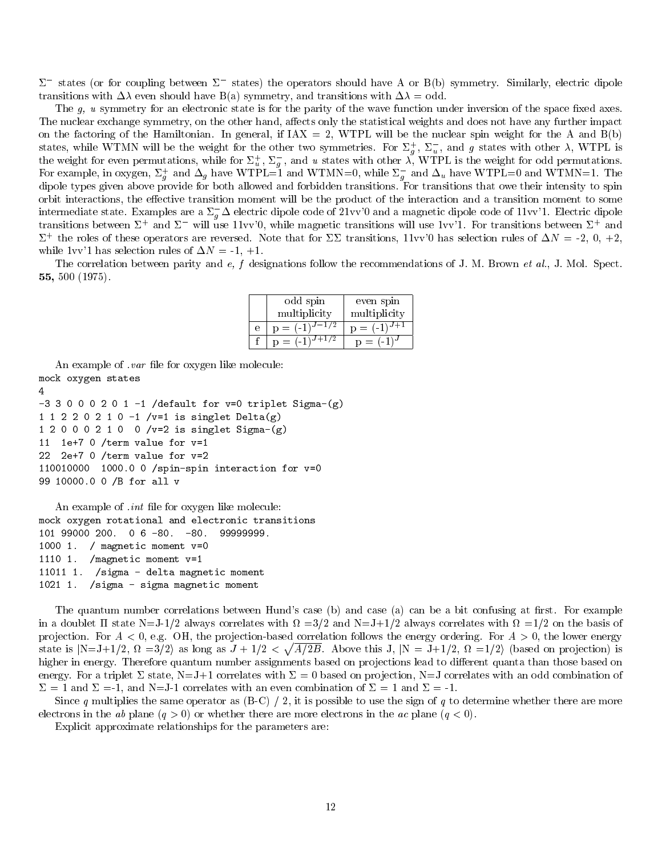$\Sigma^-$  states (or for coupling between  $\Sigma^-$  states) the operators should have A or B(b) symmetry. Similarly, electric dipole transitions with  $\Delta\lambda$  even should have B(a) symmetry, and transitions with  $\Delta\lambda = \text{odd}$ .

The  $g$ ,  $u$  symmetry for an electronic state is for the parity of the wave function under inversion of the space fixed axes. The nuclear exchange symmetry, on the other hand, affects only the statistical weights and does not have any further impact on the factoring of the Hamiltonian. In general, if  $IX = 2$ , WTPL will be the nuclear spin weight for the A and  $B(b)$ states, while WTMN will be the weight for the other two symmetries. For  $\Sigma_g^+$ ,  $\Sigma_u^-$ , and g states with other  $\lambda$ , WTPL is<br>the weight for even permutations, while for  $\Sigma_u^+$ ,  $\Sigma_g^-$ , and u states with other  $\lambda$ , WTP For example, in oxygen,  $\Sigma_g^+$  and  $\Delta_g$  have WTPL=1 and WTMN=0, while  $\Sigma_g^-$  and  $\Delta_u$  have WTPL=0 and WTMN=1. The dipole types given above provide for both allowed and forbidden transitions. For transitions that owe their intensity to spin orbit interactions, the effective transition moment will be the product of the interaction and a transition moment to some intermediate state. Examples are a  $\Sigma_g^- \Delta$  electric dipole code of 21vv'0 and a magnetic dipole code of 11vv'1. Electric dipole transitions between  $\Sigma^+$  and  $\Sigma^-$  will use 11vv'0, while magnetic transitions will use 1vv'1. For transitions between  $\Sigma^+$  and  $\Sigma^+$  the roles of these operators are reversed. Note that for  $\Sigma\Sigma$  transitions, 11vv'0 has selection rules of  $\Delta N = -2, 0, +2,$ while 1vv'1 has selection rules of  $\Delta N = -1, +1$ .

The correlation between parity and e, f designations follow the recommendations of J. M. Brown et al., J. Mol. Spect. 55, 500 (1975).

|   | odd spin           | even spin        |
|---|--------------------|------------------|
|   | multiplicity       | multiplicity     |
| е | $p = (-1)^{J-1/2}$ | $p = (-1)^{J+1}$ |
|   | $p = (-1)^{J+1/2}$ | $p = (-1)^{J}$   |

An example of *var* file for oxygen like molecule: mock oxygen states 4  $-3$  3 0 0 0 2 0 1  $-1$  /default for v=0 triplet Sigma-(g) 1 1 2 2 0 2 1 0 -1 /v=1 is singlet Delta(g) 1 2 0 0 0 2 1 0 0 /v=2 is singlet Sigma-(g) 11 1e+7 0 /term value for v=1 22 2e+7 0 /term value for v=2 110010000 1000.0 0 /spin-spin interaction for v=0 99 10000.0 0 /B for all v

```
An example of int file for oxygen like molecule:
mock oxygen rotational and electronic transitions
101 99000 200. 0 6 -80. -80. 99999999.
1000 1. / magnetic moment v=0
1110 1. /magnetic moment v=1
11011 1. /sigma - delta magnetic moment
1021 1. /sigma - sigma magnetic moment
```
The quantum number correlations between Hund's case (b) and case (a) can be a bit confusing at first. For example in a doublet  $\Pi$  state N=J-1/2 always correlates with  $\Omega = 3/2$  and N=J+1/2 always correlates with  $\Omega = 1/2$  on the basis of projection. For  $A < 0$ , e.g. OH, the projection-based correlation follows the energy ordering. For  $A > 0$ , the lower energy state is  $|N=J+1/2$ ,  $\Omega =3/2$  as long as  $J+1/2 < \sqrt{A/2B}$ . Above this J,  $|N = J+1/2$ ,  $\Omega =1/2$  (based on projection) is higher in energy. Therefore quantum number assignments based on projections lead to different quanta than those based on energy. For a triplet  $\Sigma$  state, N=J+1 correlates with  $\Sigma = 0$  based on projection, N=J correlates with an odd combination of  $\Sigma = 1$  and  $\Sigma = -1$ , and N=J-1 correlates with an even combination of  $\Sigma = 1$  and  $\Sigma = -1$ .

Since q multiplies the same operator as  $(B-C) / 2$ , it is possible to use the sign of q to determine whether there are more electrons in the ab plane  $(q > 0)$  or whether there are more electrons in the ac plane  $(q < 0)$ .

Explicit approximate relationships for the parameters are: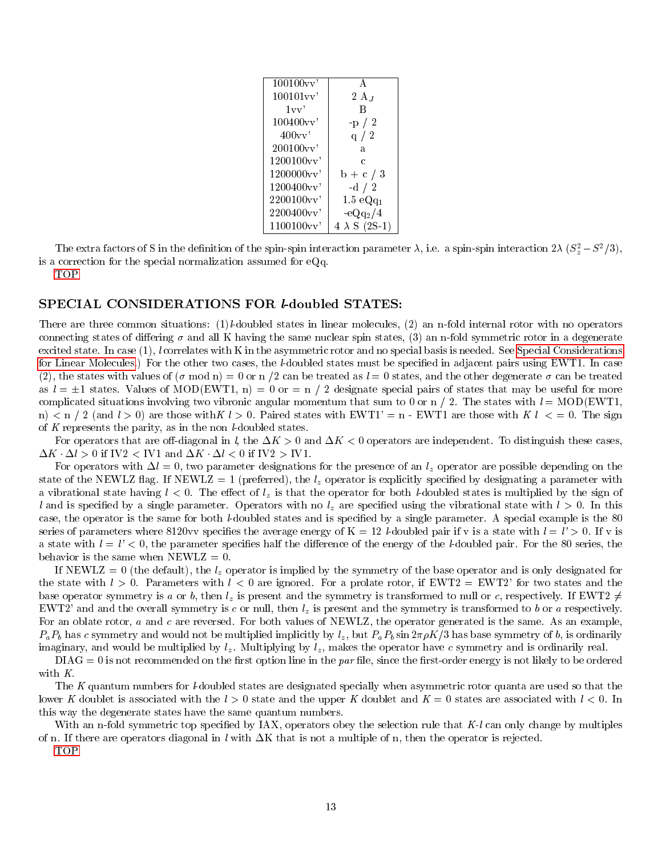| $100100$ v v |                      |
|--------------|----------------------|
| $100101$ vv  | $2A_J$               |
| 1vv'         | В                    |
| 100400vv'    | $-p / 2$             |
| 400vv'       | q $/2$               |
| 200100vv     | a                    |
| 1200100vv    | C                    |
| 1200000vv    | $b + c / 3$          |
| 1200400vv    | -d $/2$              |
| 2200100vv    | $1.5 \text{ eQq}_1$  |
| 2200400vv    | $-eQq_2/4$           |
| 1100100vv    | $4 \lambda S$ (2S-1) |
|              |                      |

The extra factors of S in the definition of the spin-spin interaction parameter  $\lambda$ , i.e. a spin-spin interaction  $2\lambda (S_z^2 - S^2/3)$ , is a correction for the special normalization assumed for eQq.

<span id="page-12-0"></span>[TOP](#page-0-1)

### SPECIAL CONSIDERATIONS FOR *l*-doubled STATES:

There are three common situations: (1)l-doubled states in linear molecules, (2) an n-fold internal rotor with no operators connecting states of differing  $\sigma$  and all K having the same nuclear spin states, (3) an n-fold symmetric rotor in a degenerate excited state. In case (1), l correlates with K in the asymmetric rotor and no special basis is needed. See [Special Considerations](#page-10-0) [for Linear Molecules.](#page-10-0)) For the other two cases, the *l*-doubled states must be specified in adjacent pairs using EWT1. In case (2), the states with values of  $(\sigma \mod n) = 0$  or  $n/2$  can be treated as  $l = 0$  states, and the other degenerate  $\sigma$  can be treated as  $l = \pm 1$  states. Values of MOD(EWT1, n) = 0 or = n / 2 designate special pairs of states that may be useful for more complicated situations involving two vibronic angular momentum that sum to 0 or n / 2. The states with  $l = MOD(EWT1,$ n)  $\leq n/2$  (and  $l > 0$ ) are those with  $K l > 0$ . Paired states with EWT1' = n - EWT1 are those with  $K l \leq 0$ . The sign of  $K$  represents the parity, as in the non  $l$ -doubled states.

For operators that are off-diagonal in l, the  $\Delta K > 0$  and  $\Delta K < 0$  operators are independent. To distinguish these cases,  $\Delta K \cdot \Delta l > 0$  if IV2 < IV1 and  $\Delta K \cdot \Delta l < 0$  if IV2 > IV1.

For operators with  $\Delta l = 0$ , two parameter designations for the presence of an  $l_z$  operator are possible depending on the state of the NEWLZ flag. If NEWLZ = 1 (preferred), the  $l_z$  operator is explicitly specified by designating a parameter with a vibrational state having  $l < 0$ . The effect of  $l<sub>z</sub>$  is that the operator for both *l*-doubled states is multiplied by the sign of l and is specified by a single parameter. Operators with no  $l<sub>z</sub>$  are specified using the vibrational state with  $l > 0$ . In this case, the operator is the same for both l-doubled states and is specied by a single parameter. A special example is the 80 series of parameters where 8120vv specifies the average energy of  $K = 12$  *l*-doubled pair if v is a state with  $l = l' > 0$ . If v is a state with  $l = l' < 0$ , the parameter specifies half the difference of the energy of the l-doubled pair. For the 80 series, the behavior is the same when  $NEWLZ = 0$ .

If NEWLZ = 0 (the default), the  $l_z$  operator is implied by the symmetry of the base operator and is only designated for the state with  $l > 0$ . Parameters with  $l < 0$  are ignored. For a prolate rotor, if EWT2 = EWT2' for two states and the base operator symmetry is a or b, then  $l_z$  is present and the symmetry is transformed to null or c, respectively. If EWT2  $\neq$ EWT2' and and the overall symmetry is c or null, then  $l_z$  is present and the symmetry is transformed to b or a respectively. For an oblate rotor, a and c are reversed. For both values of NEWLZ, the operator generated is the same. As an example,  $P_a P_b$  has c symmetry and would not be multiplied implicitly by  $l_z$ , but  $P_a P_b \sin 2\pi \rho K/3$  has base symmetry of b, is ordinarily imaginary, and would be multiplied by  $l_z$ . Multiplying by  $l_z$ , makes the operator have c symmetry and is ordinarily real.

 $\text{DIAG} = 0$  is not recommended on the first option line in the par file, since the first-order energy is not likely to be ordered with K.

The K quantum numbers for *l*-doubled states are designated specially when asymmetric rotor quanta are used so that the lower K doublet is associated with the  $l > 0$  state and the upper K doublet and  $K = 0$  states are associated with  $l < 0$ . In this way the degenerate states have the same quantum numbers.

With an n-fold symmetric top specified by IAX, operators obey the selection rule that  $K-l$  can only change by multiples of n. If there are operators diagonal in l with  $\Delta K$  that is not a multiple of n, then the operator is rejected.

<span id="page-12-1"></span>[TOP](#page-0-1)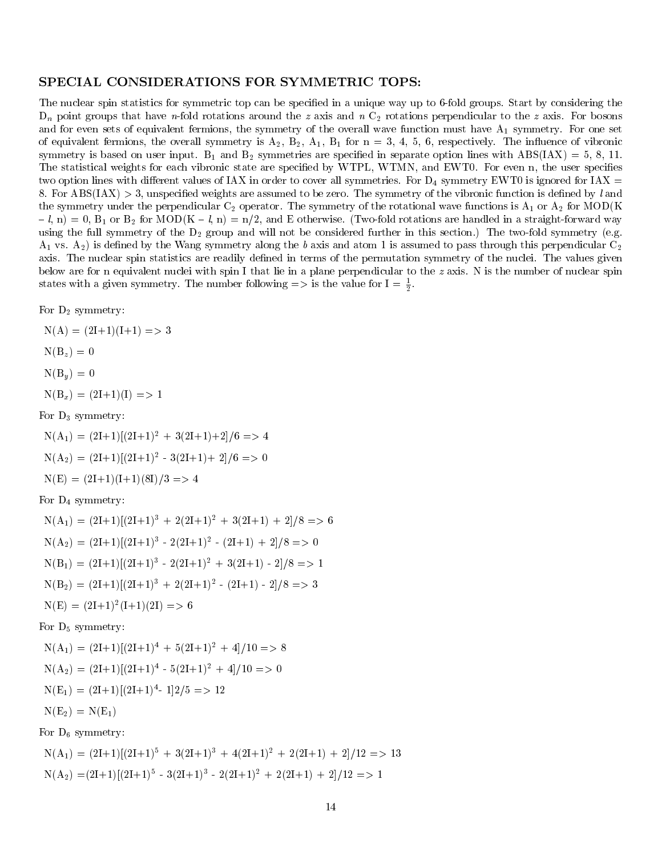### SPECIAL CONSIDERATIONS FOR SYMMETRIC TOPS:

The nuclear spin statistics for symmetric top can be specied in a unique way up to 6-fold groups. Start by considering the  $D_n$  point groups that have n-fold rotations around the z axis and n  $C_2$  rotations perpendicular to the z axis. For bosons and for even sets of equivalent fermions, the symmetry of the overall wave function must have  $A_1$  symmetry. For one set of equivalent fermions, the overall symmetry is  $A_2$ ,  $B_2$ ,  $A_1$ ,  $B_1$  for  $n = 3, 4, 5, 6$ , respectively. The influence of vibronic symmetry is based on user input. B<sub>1</sub> and B<sub>2</sub> symmetries are specified in separate option lines with ABS(IAX) = 5, 8, 11. The statistical weights for each vibronic state are specified by WTPL, WTMN, and EWT0. For even n, the user specifies two option lines with different values of IAX in order to cover all symmetries. For  $D_4$  symmetry EWT0 is ignored for IAX = 8. For  $\text{ABS(IAX)} > 3$ , unspecified weights are assumed to be zero. The symmetry of the vibronic function is defined by l and the symmetry under the perpendicular  $C_2$  operator. The symmetry of the rotational wave functions is  $A_1$  or  $A_2$  for MOD(K)  $\{ -l, n\} = 0$ ,  $B_1$  or  $B_2$  for MOD(K - l, n) = n/2, and E otherwise. (Two-fold rotations are handled in a straight-forward way using the full symmetry of the  $D_2$  group and will not be considered further in this section.) The two-fold symmetry (e.g.  $A_1$  vs.  $A_2$ ) is defined by the Wang symmetry along the b axis and atom 1 is assumed to pass through this perpendicular  $C_2$ axis. The nuclear spin statistics are readily defined in terms of the permutation symmetry of the nuclei. The values given below are for n equivalent nuclei with spin I that lie in a plane perpendicular to the z axis. N is the number of nuclear spin states with a given symmetry. The number following  $\Rightarrow$  is the value for  $I = \frac{1}{2}$ .

For  $D_2$  symmetry:

 $N(A) = (2I+1)(I+1) \implies 3$  $N(B_z) = 0$  $N(B_u) = 0$  $N(B_x) = (2I+1)(I) \implies I$ 

For  $D_3$  symmetry:

 $N(A_1) = (2I+1)[(2I+1)^2 + 3(2I+1)+2]/6 \implies$  $N(A_2) = (2I+1)[(2I+1)^2 - 3(2I+1) + 2]/6 \Rightarrow 0$  $N(E) = (2I+1)(I+1)(8I)/3 \implies 4$ For  $D_4$  symmetry:  $N(A_1) = (2I+1)[(2I+1)^3 + 2(2I+1)^2 + 3(2I+1) + 2]/8 \implies 6$ 

$$
N(A_2) = (2I+1)[(2I+1)^3 - 2(2I+1)^2 - (2I+1) + 2]/8 \implies 0
$$
  
\n
$$
N(B_1) = (2I+1)[(2I+1)^3 - 2(2I+1)^2 + 3(2I+1) - 2]/8 \implies 1
$$
  
\n
$$
N(B_2) = (2I+1)[(2I+1)^3 + 2(2I+1)^2 - (2I+1) - 2]/8 \implies 3
$$
  
\n
$$
N(E) = (2I+1)^2(I+1)(2I) \implies 6
$$

For  $D_5$  symmetry:

$$
N(A_1) = (2I+1)[(2I+1)^4 + 5(2I+1)^2 + 4]/10 \implies 8
$$
  
\n
$$
N(A_2) = (2I+1)[(2I+1)^4 - 5(2I+1)^2 + 4]/10 \implies 0
$$
  
\n
$$
N(E_1) = (2I+1)[(2I+1)^4 - 1]2/5 \implies 12
$$
  
\n
$$
N(E_2) = N(E_1)
$$

For  $D_6$  symmetry:

 $N(A_1) = (2I+1)[(2I+1)^5 + 3(2I+1)^3 + 4(2I+1)^2 + 2(2I+1) + 2]/12 \implies 13$  $N(A_2) = (2I+1)[(2I+1)^5 - 3(2I+1)^3 - 2(2I+1)^2 + 2(2I+1) + 2]/12 \implies 1$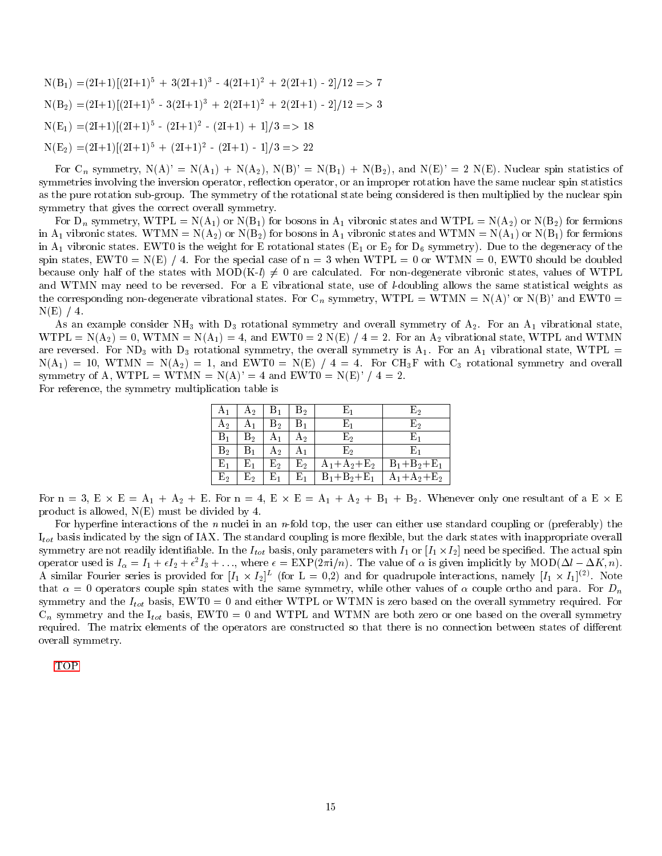$N(B_1) = (2I+1)[(2I+1)^5 + 3(2I+1)^3 - 4(2I+1)^2 + 2(2I+1) - 2]/12 \implies 7$  $N(B_2) = (2I+1)[(2I+1)^5 - 3(2I+1)^3 + 2(2I+1)^2 + 2(2I+1) - 2]/12 \implies 3$  $N(E_1) = (2I+1)[(2I+1)^5 - (2I+1)^2 - (2I+1) + 1]/3 \implies 18$  $N(E_2) = (2I+1)[(2I+1)^5 + (2I+1)^2 - (2I+1) - 1]/3 \implies 22$ 

For  $C_n$  symmetry,  $N(A)' = N(A_1) + N(A_2)$ ,  $N(B)' = N(B_1) + N(B_2)$ , and  $N(E)' = 2 N(E)$ . Nuclear spin statistics of symmetries involving the inversion operator, reflection operator, or an improper rotation have the same nuclear spin statistics as the pure rotation sub-group. The symmetry of the rotational state being considered is then multiplied by the nuclear spin symmetry that gives the correct overall symmetry.

For  $D_n$  symmetry, WTPL =  $N(A_1)$  or  $N(B_1)$  for bosons in  $A_1$  vibronic states and WTPL =  $N(A_2)$  or  $N(B_2)$  for fermions in A<sub>1</sub> vibronic states. WTMN = N(A<sub>2</sub>) or N(B<sub>2</sub>) for bosons in A<sub>1</sub> vibronic states and WTMN = N(A<sub>1</sub>) or N(B<sub>1</sub>) for fermions in  $A_1$  vibronic states. EWT0 is the weight for E rotational states ( $E_1$  or  $E_2$  for  $D_6$  symmetry). Due to the degeneracy of the spin states, EWT0 = N(E) / 4. For the special case of  $n = 3$  when WTPL = 0 or WTMN = 0, EWT0 should be doubled because only half of the states with MOD(K-l)  $\neq$  0 are calculated. For non-degenerate vibronic states, values of WTPL and WTMN may need to be reversed. For a E vibrational state, use of *l*-doubling allows the same statistical weights as the corresponding non-degenerate vibrational states. For C<sub>n</sub> symmetry, WTPL = WTMN = N(A)' or N(B)' and EWT0 =  $N(E)$  / 4.

As an example consider NH<sub>3</sub> with D<sub>3</sub> rotational symmetry and overall symmetry of  $A_2$ . For an  $A_1$  vibrational state,  $WTPL = N(A_2) = 0$ ,  $WTMN = N(A_1) = 4$ , and  $EWT0 = 2 N(E) / 4 = 2$ . For an  $A_2$  vibrational state, WTPL and WTMN are reversed. For ND<sub>3</sub> with D<sub>3</sub> rotational symmetry, the overall symmetry is  $A_1$ . For an  $A_1$  vibrational state, WTPL =  $N(A_1) = 10$ , WTMN =  $N(A_2) = 1$ , and EWT0 =  $N(E) / 4 = 4$ . For CH<sub>3</sub>F with C<sub>3</sub> rotational symmetry and overall symmetry of A, WTPL = WTMN =  $N(A)' = 4$  and EWT0 =  $N(E)' / 4 = 2$ . For reference, the symmetry multiplication table is

| A1             | $A_2$          | $\rm B_1$        | B2             | E1                | E,                |
|----------------|----------------|------------------|----------------|-------------------|-------------------|
| А2             | А1             | $\mathrm{B}_2$   | $\mathrm{B}_1$ | Е,                | E۰                |
| $\rm{B_1}$     | $B_{2}$        | A <sub>1</sub>   | Aэ             | E2                | Е.                |
| $B_{2}$        | $\rm{B_{1}}$   | $A_2$            | $A_1$          | E2                | Е.                |
| $\rm E_{1}$    | $\rm E_{1}$    | $\mathrm{E}_{2}$ | $\mathrm{E}_2$ | $A_1 + A_2 + E_2$ | $B_1 + B_2 + E_1$ |
| $\mathrm{E}_2$ | $\mathrm{E}_2$ | $\mathrm{E}_1$   | $\mathrm{E}_1$ | $B_1 + B_2 + E_1$ | $A_1+A_2+E_2$     |

For  $n = 3$ ,  $E \times E = A_1 + A_2 + E$ . For  $n = 4$ ,  $E \times E = A_1 + A_2 + B_1 + B_2$ . Whenever only one resultant of a  $E \times E$ product is allowed, N(E) must be divided by 4.

For hyperfine interactions of the n nuclei in an n-fold top, the user can either use standard coupling or (preferably) the  $I_{tot}$  basis indicated by the sign of IAX. The standard coupling is more flexible, but the dark states with inappropriate overall symmetry are not readily identifiable. In the  $I_{tot}$  basis, only parameters with  $I_1$  or  $[I_1 \times I_2]$  need be specified. The actual spin operator used is  $I_{\alpha} = I_1 + \epsilon I_2 + \epsilon^2 I_3 + \dots$ , where  $\epsilon = \text{EXP}(2\pi i/n)$ . The value of  $\alpha$  is given implicitly by  $\text{MOD}(\Delta l - \Delta K, n)$ . A similar Fourier series is provided for  $[I_1 \times I_2]^L$  (for  $L = 0,2$ ) and for quadrupole interactions, namely  $[I_1 \times I_1]^{(2)}$ . Note that  $\alpha = 0$  operators couple spin states with the same symmetry, while other values of  $\alpha$  couple ortho and para. For  $D_n$ symmetry and the  $I_{tot}$  basis, EWT0 = 0 and either WTPL or WTMN is zero based on the overall symmetry required. For  $C_n$  symmetry and the  $I_{tot}$  basis, EWT0 = 0 and WTPL and WTMN are both zero or one based on the overall symmetry required. The matrix elements of the operators are constructed so that there is no connection between states of different overall symmetry.

<span id="page-14-0"></span>[TOP](#page-0-1)